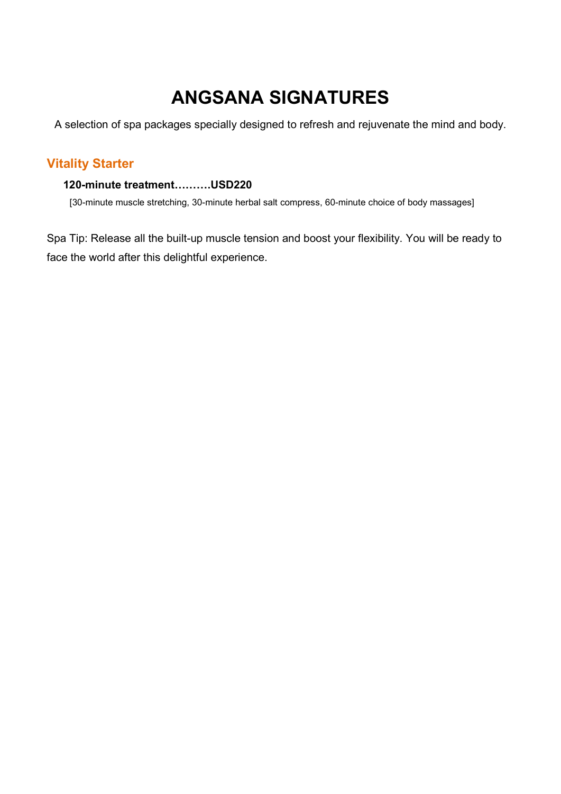# ANGSANA SIGNATURES

A selection of spa packages specially designed to refresh and rejuvenate the mind and body.

# Vitality Starter

#### 120-minute treatment……….USD220

[30-minute muscle stretching, 30-minute herbal salt compress, 60-minute choice of body massages]

Spa Tip: Release all the built-up muscle tension and boost your flexibility. You will be ready to face the world after this delightful experience.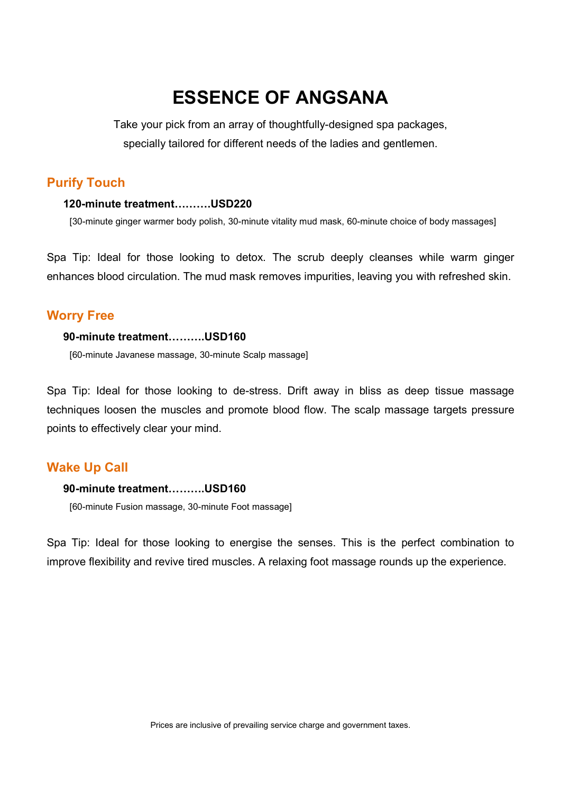# ESSENCE OF ANGSANA

Take your pick from an array of thoughtfully-designed spa packages, specially tailored for different needs of the ladies and gentlemen.

# Purify Touch

#### 120-minute treatment……….USD220

[30-minute ginger warmer body polish, 30-minute vitality mud mask, 60-minute choice of body massages]

Spa Tip: Ideal for those looking to detox. The scrub deeply cleanses while warm ginger enhances blood circulation. The mud mask removes impurities, leaving you with refreshed skin.

#### Worry Free

#### 90-minute treatment……….USD160

[60-minute Javanese massage, 30-minute Scalp massage]

Spa Tip: Ideal for those looking to de-stress. Drift away in bliss as deep tissue massage techniques loosen the muscles and promote blood flow. The scalp massage targets pressure points to effectively clear your mind.

#### Wake Up Call

#### 90-minute treatment……….USD160

[60-minute Fusion massage, 30-minute Foot massage]

Spa Tip: Ideal for those looking to energise the senses. This is the perfect combination to improve flexibility and revive tired muscles. A relaxing foot massage rounds up the experience.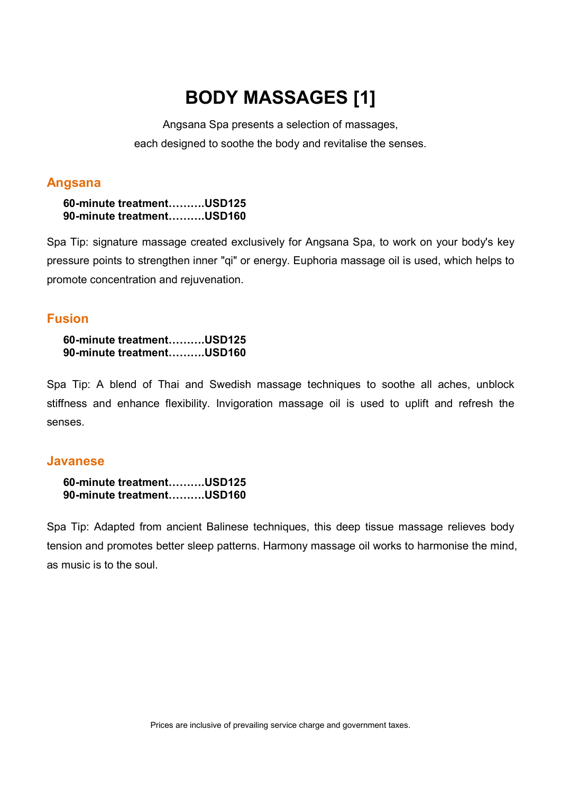# BODY MASSAGES [1]

Angsana Spa presents a selection of massages, each designed to soothe the body and revitalise the senses.

#### Angsana

60-minute treatment……….USD125 90-minute treatment……….USD160

Spa Tip: signature massage created exclusively for Angsana Spa, to work on your body's key pressure points to strengthen inner "qi" or energy. Euphoria massage oil is used, which helps to promote concentration and rejuvenation.

### Fusion

#### 60-minute treatment……….USD125 90-minute treatment……….USD160

Spa Tip: A blend of Thai and Swedish massage techniques to soothe all aches, unblock stiffness and enhance flexibility. Invigoration massage oil is used to uplift and refresh the senses.

### Javanese

|  | 60-minute treatmentUSD125 |
|--|---------------------------|
|  | 90-minute treatmentUSD160 |

Spa Tip: Adapted from ancient Balinese techniques, this deep tissue massage relieves body tension and promotes better sleep patterns. Harmony massage oil works to harmonise the mind, as music is to the soul.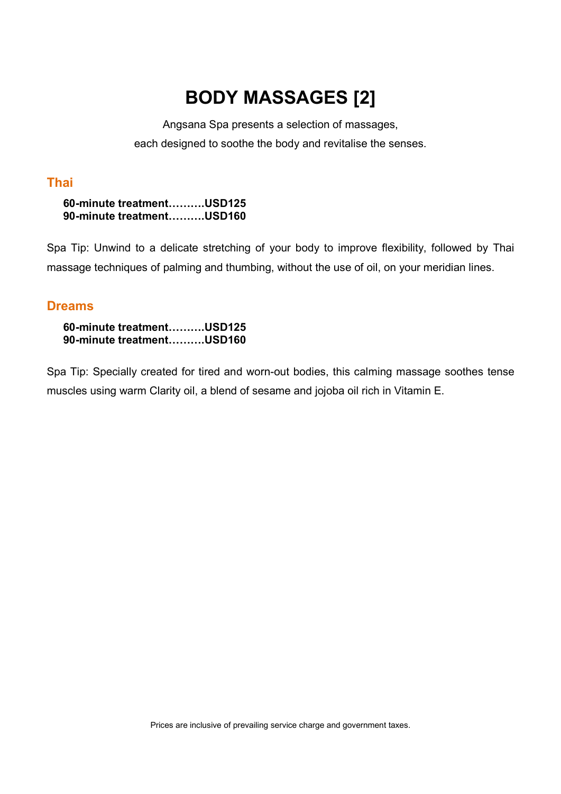# BODY MASSAGES [2]

Angsana Spa presents a selection of massages, each designed to soothe the body and revitalise the senses.

# Thai

60-minute treatment……….USD125 90-minute treatment……….USD160

Spa Tip: Unwind to a delicate stretching of your body to improve flexibility, followed by Thai massage techniques of palming and thumbing, without the use of oil, on your meridian lines.

### Dreams

60-minute treatment……….USD125 90-minute treatment……….USD160

Spa Tip: Specially created for tired and worn-out bodies, this calming massage soothes tense muscles using warm Clarity oil, a blend of sesame and jojoba oil rich in Vitamin E.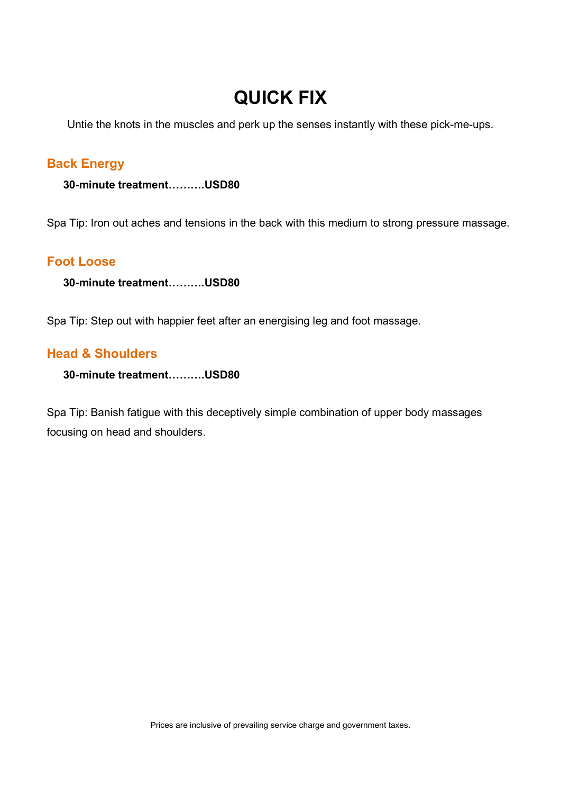# QUICK FIX

Untie the knots in the muscles and perk up the senses instantly with these pick-me-ups.

# Back Energy

30-minute treatment……….USD80

Spa Tip: Iron out aches and tensions in the back with this medium to strong pressure massage.

## Foot Loose

30-minute treatment……….USD80

Spa Tip: Step out with happier feet after an energising leg and foot massage.

## Head & Shoulders

30-minute treatment……….USD80

Spa Tip: Banish fatigue with this deceptively simple combination of upper body massages focusing on head and shoulders.

Prices are inclusive of prevailing service charge and government taxes.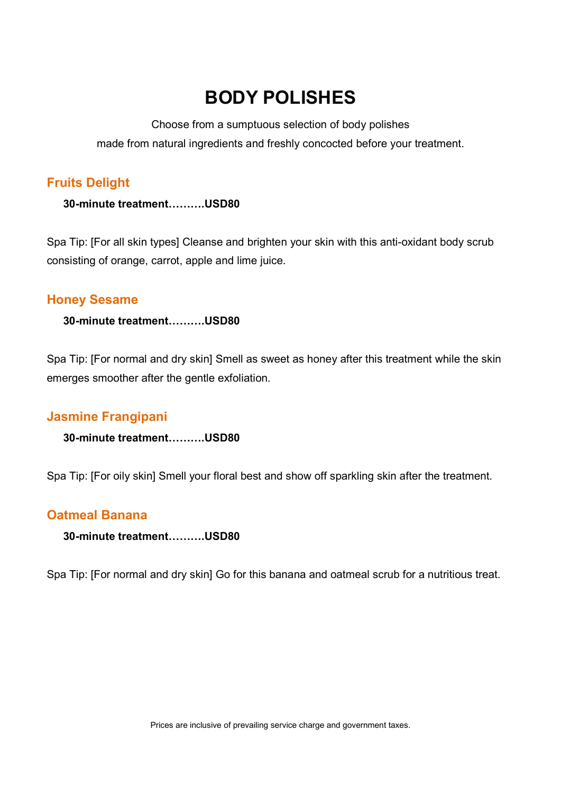# BODY POLISHES

Choose from a sumptuous selection of body polishes made from natural ingredients and freshly concocted before your treatment.

# Fruits Delight

30-minute treatment……….USD80

Spa Tip: [For all skin types] Cleanse and brighten your skin with this anti-oxidant body scrub consisting of orange, carrot, apple and lime juice.

## Honey Sesame

30-minute treatment……….USD80

Spa Tip: [For normal and dry skin] Smell as sweet as honey after this treatment while the skin emerges smoother after the gentle exfoliation.

# Jasmine Frangipani

30-minute treatment……….USD80

Spa Tip: [For oily skin] Smell your floral best and show off sparkling skin after the treatment.

# Oatmeal Banana

30-minute treatment……….USD80

Spa Tip: [For normal and dry skin] Go for this banana and oatmeal scrub for a nutritious treat.

Prices are inclusive of prevailing service charge and government taxes.